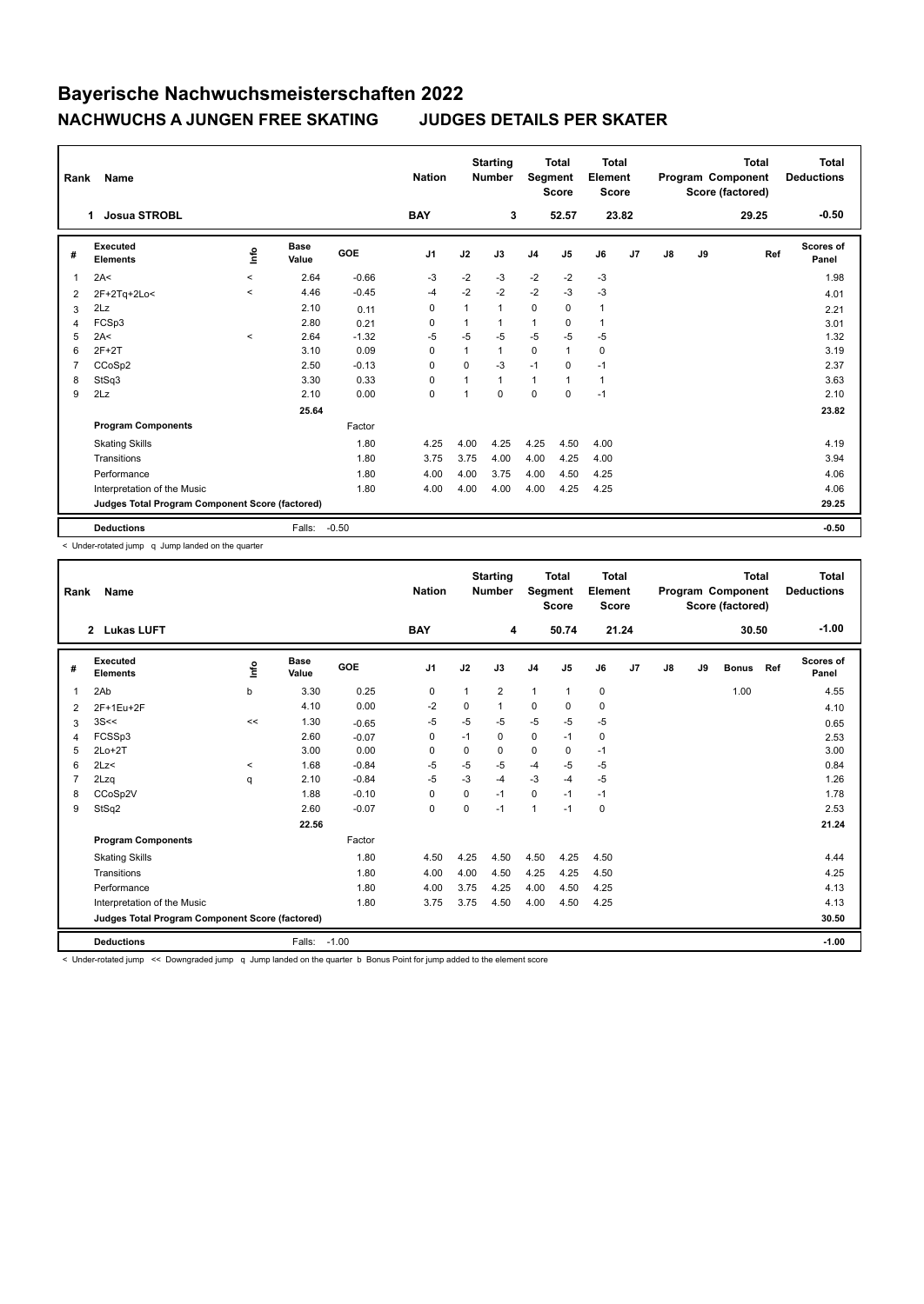## **Bayerische Nachwuchsmeisterschaften 2022 NACHWUCHS A JUNGEN FREE SKATING JUDGES DETAILS PER SKATER**

| Rank           | <b>Name</b>                                     |         |                      |         | <b>Nation</b>  |                | <b>Starting</b><br><b>Number</b> | Segment        | <b>Total</b><br><b>Score</b> | <b>Total</b><br>Element<br><b>Score</b> |    |    |    | <b>Total</b><br>Program Component<br>Score (factored) | <b>Total</b><br><b>Deductions</b> |
|----------------|-------------------------------------------------|---------|----------------------|---------|----------------|----------------|----------------------------------|----------------|------------------------------|-----------------------------------------|----|----|----|-------------------------------------------------------|-----------------------------------|
|                | <b>Josua STROBL</b><br>1                        |         |                      |         | <b>BAY</b>     |                | 3                                |                | 52.57                        | 23.82                                   |    |    |    | 29.25                                                 | $-0.50$                           |
| #              | <b>Executed</b><br><b>Elements</b>              | lnfo    | <b>Base</b><br>Value | GOE     | J <sub>1</sub> | J2             | J3                               | J <sub>4</sub> | J <sub>5</sub>               | J6                                      | J7 | J8 | J9 | Ref                                                   | <b>Scores of</b><br>Panel         |
| 1              | 2A<                                             | $\prec$ | 2.64                 | $-0.66$ | -3             | $-2$           | $-3$                             | $-2$           | $-2$                         | $-3$                                    |    |    |    |                                                       | 1.98                              |
| 2              | 2F+2Tq+2Lo<                                     | $\prec$ | 4.46                 | $-0.45$ | $-4$           | $-2$           | $-2$                             | $-2$           | $-3$                         | $-3$                                    |    |    |    |                                                       | 4.01                              |
| 3              | 2Lz                                             |         | 2.10                 | 0.11    | 0              | 1              | 1                                | $\mathbf 0$    | $\mathbf 0$                  | $\mathbf{1}$                            |    |    |    |                                                       | 2.21                              |
| 4              | FCSp3                                           |         | 2.80                 | 0.21    | 0              | 1              | 1                                | $\mathbf{1}$   | 0                            | 1                                       |    |    |    |                                                       | 3.01                              |
| 5              | 2A<                                             | $\prec$ | 2.64                 | $-1.32$ | $-5$           | $-5$           | $-5$                             | $-5$           | $-5$                         | $-5$                                    |    |    |    |                                                       | 1.32                              |
| 6              | $2F+2T$                                         |         | 3.10                 | 0.09    | 0              | 1              | $\mathbf{1}$                     | $\mathbf 0$    | 1                            | 0                                       |    |    |    |                                                       | 3.19                              |
| $\overline{7}$ | CCoSp2                                          |         | 2.50                 | $-0.13$ | $\mathbf 0$    | $\Omega$       | $-3$                             | $-1$           | $\mathbf 0$                  | $-1$                                    |    |    |    |                                                       | 2.37                              |
| 8              | StSq3                                           |         | 3.30                 | 0.33    | 0              | $\overline{1}$ | $\mathbf{1}$                     | $\mathbf{1}$   | 1                            | $\mathbf{1}$                            |    |    |    |                                                       | 3.63                              |
| 9              | 2Lz                                             |         | 2.10                 | 0.00    | 0              | 1              | $\Omega$                         | $\mathbf 0$    | 0                            | $-1$                                    |    |    |    |                                                       | 2.10                              |
|                |                                                 |         | 25.64                |         |                |                |                                  |                |                              |                                         |    |    |    |                                                       | 23.82                             |
|                | <b>Program Components</b>                       |         |                      | Factor  |                |                |                                  |                |                              |                                         |    |    |    |                                                       |                                   |
|                | <b>Skating Skills</b>                           |         |                      | 1.80    | 4.25           | 4.00           | 4.25                             | 4.25           | 4.50                         | 4.00                                    |    |    |    |                                                       | 4.19                              |
|                | Transitions                                     |         |                      | 1.80    | 3.75           | 3.75           | 4.00                             | 4.00           | 4.25                         | 4.00                                    |    |    |    |                                                       | 3.94                              |
|                | Performance                                     |         |                      | 1.80    | 4.00           | 4.00           | 3.75                             | 4.00           | 4.50                         | 4.25                                    |    |    |    |                                                       | 4.06                              |
|                | Interpretation of the Music                     |         |                      | 1.80    | 4.00           | 4.00           | 4.00                             | 4.00           | 4.25                         | 4.25                                    |    |    |    |                                                       | 4.06                              |
|                | Judges Total Program Component Score (factored) |         |                      |         |                |                |                                  |                |                              |                                         |    |    |    |                                                       | 29.25                             |
|                | <b>Deductions</b>                               |         | Falls:               | $-0.50$ |                |                |                                  |                |                              |                                         |    |    |    |                                                       | $-0.50$                           |

< Under-rotated jump q Jump landed on the quarter

| Rank           | <b>Name</b>                                     |       |                      |            | <b>Nation</b>  |              | <b>Starting</b><br><b>Number</b> | Segment        | <b>Total</b><br><b>Score</b> | <b>Total</b><br>Element<br><b>Score</b> |                |    |    | <b>Total</b><br>Program Component<br>Score (factored) |     | Total<br><b>Deductions</b> |
|----------------|-------------------------------------------------|-------|----------------------|------------|----------------|--------------|----------------------------------|----------------|------------------------------|-----------------------------------------|----------------|----|----|-------------------------------------------------------|-----|----------------------------|
|                | 2 Lukas LUFT                                    |       |                      |            | <b>BAY</b>     |              | 4                                |                | 50.74                        | 21.24                                   |                |    |    | 30.50                                                 |     | $-1.00$                    |
| #              | Executed<br><b>Elements</b>                     | lnfo  | <b>Base</b><br>Value | <b>GOE</b> | J <sub>1</sub> | J2           | J3                               | J <sub>4</sub> | J <sub>5</sub>               | J6                                      | J <sub>7</sub> | J8 | J9 | <b>Bonus</b>                                          | Ref | Scores of<br>Panel         |
| $\overline{1}$ | 2Ab                                             | b     | 3.30                 | 0.25       | 0              | $\mathbf{1}$ | $\overline{2}$                   | $\mathbf{1}$   | $\mathbf{1}$                 | $\mathbf 0$                             |                |    |    | 1.00                                                  |     | 4.55                       |
| 2              | 2F+1Eu+2F                                       |       | 4.10                 | 0.00       | $-2$           | 0            |                                  | 0              | 0                            | 0                                       |                |    |    |                                                       |     | 4.10                       |
| 3              | 3S<<                                            | <<    | 1.30                 | $-0.65$    | $-5$           | $-5$         | $-5$                             | $-5$           | $-5$                         | $-5$                                    |                |    |    |                                                       |     | 0.65                       |
| $\overline{4}$ | FCSSp3                                          |       | 2.60                 | $-0.07$    | 0              | $-1$         | 0                                | $\mathbf 0$    | $-1$                         | 0                                       |                |    |    |                                                       |     | 2.53                       |
| 5              | $2Lo+2T$                                        |       | 3.00                 | 0.00       | 0              | 0            | 0                                | $\mathbf 0$    | $\mathbf 0$                  | $-1$                                    |                |    |    |                                                       |     | 3.00                       |
| 6              | 2Lz                                             | $\,<$ | 1.68                 | $-0.84$    | $-5$           | $-5$         | $-5$                             | $-4$           | $-5$                         | $-5$                                    |                |    |    |                                                       |     | 0.84                       |
| 7              | 2Lzq                                            | q     | 2.10                 | $-0.84$    | $-5$           | $-3$         | $-4$                             | $-3$           | $-4$                         | $-5$                                    |                |    |    |                                                       |     | 1.26                       |
| 8              | CCoSp2V                                         |       | 1.88                 | $-0.10$    | 0              | 0            | $-1$                             | $\mathbf 0$    | $-1$                         | $-1$                                    |                |    |    |                                                       |     | 1.78                       |
| 9              | StSq2                                           |       | 2.60                 | $-0.07$    | 0              | 0            | $-1$                             | $\overline{1}$ | $-1$                         | 0                                       |                |    |    |                                                       |     | 2.53                       |
|                |                                                 |       | 22.56                |            |                |              |                                  |                |                              |                                         |                |    |    |                                                       |     | 21.24                      |
|                | <b>Program Components</b>                       |       |                      | Factor     |                |              |                                  |                |                              |                                         |                |    |    |                                                       |     |                            |
|                | <b>Skating Skills</b>                           |       |                      | 1.80       | 4.50           | 4.25         | 4.50                             | 4.50           | 4.25                         | 4.50                                    |                |    |    |                                                       |     | 4.44                       |
|                | Transitions                                     |       |                      | 1.80       | 4.00           | 4.00         | 4.50                             | 4.25           | 4.25                         | 4.50                                    |                |    |    |                                                       |     | 4.25                       |
|                | Performance                                     |       |                      | 1.80       | 4.00           | 3.75         | 4.25                             | 4.00           | 4.50                         | 4.25                                    |                |    |    |                                                       |     | 4.13                       |
|                | Interpretation of the Music                     |       |                      | 1.80       | 3.75           | 3.75         | 4.50                             | 4.00           | 4.50                         | 4.25                                    |                |    |    |                                                       |     | 4.13                       |
|                | Judges Total Program Component Score (factored) |       |                      |            |                |              |                                  |                |                              |                                         |                |    |    |                                                       |     | 30.50                      |
|                | <b>Deductions</b>                               |       | Falls:               | $-1.00$    |                |              |                                  |                |                              |                                         |                |    |    |                                                       |     | $-1.00$                    |

< Under-rotated jump << Downgraded jump q Jump landed on the quarter b Bonus Point for jump added to the element score